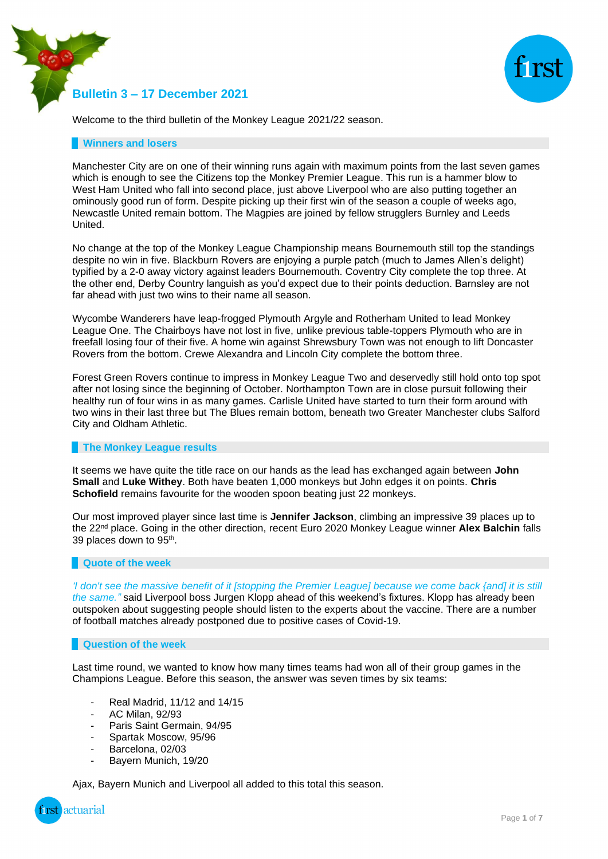



Welcome to the third bulletin of the Monkey League 2021/22 season.

### **Winners and losers**

Manchester City are on one of their winning runs again with maximum points from the last seven games which is enough to see the Citizens top the Monkey Premier League. This run is a hammer blow to West Ham United who fall into second place, just above Liverpool who are also putting together an ominously good run of form. Despite picking up their first win of the season a couple of weeks ago, Newcastle United remain bottom. The Magpies are joined by fellow strugglers Burnley and Leeds United.

No change at the top of the Monkey League Championship means Bournemouth still top the standings despite no win in five. Blackburn Rovers are enjoying a purple patch (much to James Allen's delight) typified by a 2-0 away victory against leaders Bournemouth. Coventry City complete the top three. At the other end, Derby Country languish as you'd expect due to their points deduction. Barnsley are not far ahead with just two wins to their name all season.

Wycombe Wanderers have leap-frogged Plymouth Argyle and Rotherham United to lead Monkey League One. The Chairboys have not lost in five, unlike previous table-toppers Plymouth who are in freefall losing four of their five. A home win against Shrewsbury Town was not enough to lift Doncaster Rovers from the bottom. Crewe Alexandra and Lincoln City complete the bottom three.

Forest Green Rovers continue to impress in Monkey League Two and deservedly still hold onto top spot after not losing since the beginning of October. Northampton Town are in close pursuit following their healthy run of four wins in as many games. Carlisle United have started to turn their form around with two wins in their last three but The Blues remain bottom, beneath two Greater Manchester clubs Salford City and Oldham Athletic.

### **The Monkey League results**

It seems we have quite the title race on our hands as the lead has exchanged again between **John Small** and **Luke Withey**. Both have beaten 1,000 monkeys but John edges it on points. **Chris Schofield** remains favourite for the wooden spoon beating just 22 monkeys.

Our most improved player since last time is **Jennifer Jackson**, climbing an impressive 39 places up to the 22nd place. Going in the other direction, recent Euro 2020 Monkey League winner **Alex Balchin** falls 39 places down to 95<sup>th</sup>.

### **Quote of the week**

*'I don't see the massive benefit of it [stopping the Premier League] because we come back {and] it is still the same."* said Liverpool boss Jurgen Klopp ahead of this weekend's fixtures. Klopp has already been outspoken about suggesting people should listen to the experts about the vaccine. There are a number of football matches already postponed due to positive cases of Covid-19.

### **Question of the week**

Last time round, we wanted to know how many times teams had won all of their group games in the Champions League. Before this season, the answer was seven times by six teams:

- Real Madrid, 11/12 and 14/15
- AC Milan, 92/93
- Paris Saint Germain, 94/95
- Spartak Moscow, 95/96
- Barcelona, 02/03
- Bayern Munich, 19/20

Ajax, Bayern Munich and Liverpool all added to this total this season.

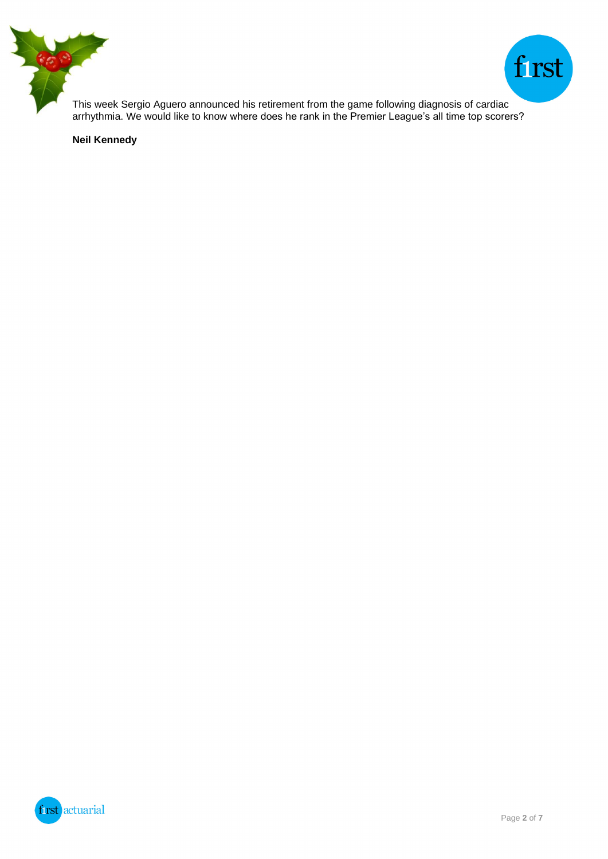



This week Sergio Aguero announced his retirement from the game following diagnosis of cardiac arrhythmia. We would like to know where does he rank in the Premier League's all time top scorers?

**Neil Kennedy**

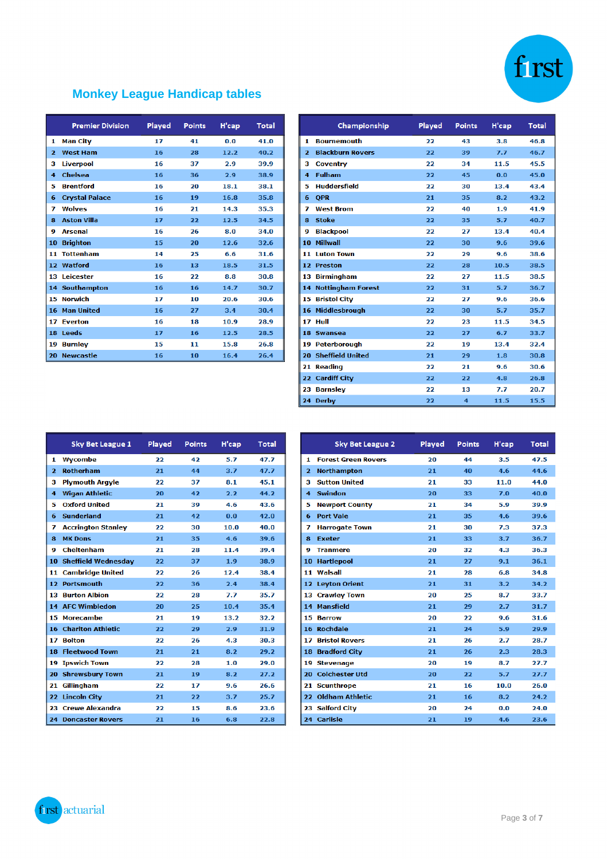

# **Monkey League Handicap tables**

|                | <b>Premier Division</b> | Played | <b>Points</b> | H'cap | <b>Total</b> |
|----------------|-------------------------|--------|---------------|-------|--------------|
| 1              | <b>Man City</b>         | 17     | 41            | 0.0   | 41.0         |
| $\overline{2}$ | <b>West Ham</b>         | 16     | 28            | 12.2  | 40.2         |
| з              | <b>Liverpool</b>        | 16     | 37            | 2.9   | 39.9         |
| 4              | Chelsea                 | 16     | 36            | 2.9   | 38.9         |
| 5              | <b>Brentford</b>        | 16     | 20            | 18.1  | 38.1         |
| 6              | <b>Crystal Palace</b>   | 16     | 19            | 16.8  | 35.8         |
| 7              | <b>Wolves</b>           | 16     | 21            | 14.3  | 35.3         |
| 8              | <b>Aston Villa</b>      | 17     | 22            | 12.5  | 34.5         |
| q              | <b>Arsenal</b>          | 16     | 26            | 8.0   | 34.0         |
| 10             | <b>Brighton</b>         | 15     | 20            | 12.6  | 32.6         |
| 11             | <b>Tottenham</b>        | 14     | 25            | 6.6   | 31.6         |
|                | 12 Watford              | 16     | 13            | 18.5  | 31.5         |
| 13             | Leicester               | 16     | 22            | 8.8   | 30.8         |
|                | <b>14 Southampton</b>   | 16     | 16            | 14.7  | 30.7         |
| 15             | <b>Norwich</b>          | 17     | 10            | 20.6  | 30.6         |
| 16             | <b>Man United</b>       | 16     | 27            | 3.4   | 30.4         |
| 17.            | <b>Everton</b>          | 16     | 18            | 10.9  | 28.9         |
| 18             | Leeds                   | 17     | 16            | 12.5  | 28.5         |
| 19             | <b>Burnley</b>          | 15     | 11            | 15.8  | 26.8         |
| 20             | <b>Newcastle</b>        | 16     | 10            | 16.4  | 26.4         |

|                | Championship                | Played | <b>Points</b> | H'cap | <b>Total</b> |
|----------------|-----------------------------|--------|---------------|-------|--------------|
| 1              | <b>Bournemouth</b>          | 22     | 43            | 3.8   | 46.8         |
| $\overline{2}$ | <b>Blackburn Rovers</b>     | 22     | 39            | 7.7   | 46.7         |
| з              | <b>Coventry</b>             | 22     | 34            | 11.5  | 45.5         |
| 4              | <b>Fulham</b>               | 22     | 45            | 0.0   | 45.0         |
| 5              | <b>Huddersfield</b>         | 22     | 30            | 13.4  | 43.4         |
| 6              | <b>OPR</b>                  | 21     | 35            | 8.2   | 43.2         |
| 7              | <b>West Brom</b>            | 22     | 40            | 1.9   | 41.9         |
| 8              | <b>Stoke</b>                | 22     | 35            | 5.7   | 40.7         |
| 9              | <b>Blackpool</b>            | 22     | 27            | 13.4  | 40.4         |
| 10             | <b>Millwall</b>             | 22     | 30            | 9.6   | 39.6         |
| 11             | <b>Luton Town</b>           | 22     | 29            | 9.6   | 38.6         |
|                | 12 Preston                  | 22     | 28            | 10.5  | 38.5         |
|                | 13 Birmingham               | 22     | 27            | 11.5  | 38.5         |
|                | <b>14 Nottingham Forest</b> | 22     | 31            | 5.7   | 36.7         |
| 15             | <b>Bristol City</b>         | 22     | 27            | 9.6   | 36.6         |
| 16             | Middlesbrough               | 22     | 30            | 5.7   | 35.7         |
| 17             | Hull                        | 22     | 23            | 11.5  | 34.5         |
|                | 18 Swansea                  | 22     | 27            | 6.7   | 33.7         |
|                | 19 Peterborough             | 22     | 19            | 13.4  | 32.4         |
| 20             | <b>Sheffield United</b>     | 21     | 29            | 1.8   | 30.8         |
|                | 21 Reading                  | 22     | 21            | 9.6   | 30.6         |
|                | 22 Cardiff City             | 22     | 22            | 4.8   | 26.8         |
|                | 23 Barnsley                 | 22     | 13            | 7.7   | 20.7         |
|                | 24 Derby                    | 22     | 4             | 11.5  | 15.5         |

|                         | <b>Sky Bet League 1</b>    | Played | <b>Points</b> | H'cap | <b>Total</b> |
|-------------------------|----------------------------|--------|---------------|-------|--------------|
| 1                       | Wycombe                    | 22     | 42            | 5.7   | 47.7         |
| $\overline{\mathbf{2}}$ | <b>Rotherham</b>           | 21     | 44            | 3.7   | 47.7         |
| з                       | <b>Plymouth Argyle</b>     | 22     | 37            | 8.1   | 45.1         |
| 4                       | <b>Wigan Athletic</b>      | 20     | 42            | 2.2   | 44.2         |
| 5                       | <b>Oxford United</b>       | 21     | 39            | 4.6   | 43.6         |
| 6                       | <b>Sunderland</b>          | 21     | 42            | 0.0   | 42.0         |
| 7                       | <b>Accrington Stanley</b>  | 22     | 30            | 10.0  | 40.0         |
| 8                       | <b>MK Dons</b>             | 21     | 35            | 4.6   | 39.6         |
| 9                       | <b>Cheltenham</b>          | 21     | 28            | 11.4  | 39.4         |
|                         | 10 Sheffield Wednesday     | 22     | 37            | 1.9   | 38.9         |
| 11                      | <b>Cambridge United</b>    | 22     | 26            | 12.4  | 38.4         |
|                         | 12 Portsmouth              | 22     | 36            | 2.4   | 38.4         |
|                         | <b>13 Burton Albion</b>    | 22     | 28            | 7.7   | 35.7         |
|                         | <b>14 AFC Wimbledon</b>    | 20     | 25            | 10.4  | 35.4         |
|                         | 15 Morecambe               | 21     | 19            | 13.2  | 32.2         |
| 16                      | <b>Charlton Athletic</b>   | 22     | 29            | 2.9   | 31.9         |
| 17                      | <b>Bolton</b>              | 22     | 26            | 4.3   | 30.3         |
|                         | <b>18 Fleetwood Town</b>   | 21     | 21            | 8.2   | 29.2         |
|                         | <b>19 Ipswich Town</b>     | 22     | 28            | 1.0   | 29.0         |
|                         | 20 Shrewsbury Town         | 21     | 19            | 8.2   | 27.2         |
| 21                      | Gillingham                 | 22     | 17            | 9.6   | 26.6         |
|                         | 22 Lincoln City            | 21     | 22            | 3.7   | 25.7         |
| 23                      | <b>Crewe Alexandra</b>     | 22     | 15            | 8.6   | 23.6         |
|                         | <b>24 Doncaster Rovers</b> | 21     | 16            | 6.8   | 22.8         |

|                | <b>Sky Bet League 2</b>    | Played | <b>Points</b> | H'cap | <b>Total</b> |
|----------------|----------------------------|--------|---------------|-------|--------------|
| 1              | <b>Forest Green Rovers</b> | 20     | 44            | 3.5   | 47.5         |
| $\overline{2}$ | <b>Northampton</b>         | 21     | 40            | 4.6   | 44.6         |
| з              | <b>Sutton United</b>       | 21     | 33            | 11.0  | 44.0         |
| 4              | <b>Swindon</b>             | 20     | 33            | 7.0   | 40.0         |
| 5              | <b>Newport County</b>      | 21     | 34            | 5.9   | 39.9         |
| 6              | <b>Port Vale</b>           | 21     | 35            | 4.6   | 39.6         |
| 7              | <b>Harrogate Town</b>      | 21     | 30            | 7.3   | 37.3         |
| 8              | <b>Exeter</b>              | 21     | 33            | 3.7   | 36.7         |
| 9              | <b>Tranmere</b>            | 20     | 32            | 4.3   | 36.3         |
| 10             | <b>Hartlepool</b>          | 21     | 27            | 9.1   | 36.1         |
|                | 11 Walsall                 | 21     | 28            | 6.8   | 34.8         |
|                | 12 Leyton Orient           | 21     | 31            | 3.2   | 34.2         |
|                | 13 Crawley Town            | 20     | 25            | 8.7   | 33.7         |
|                | 14 Mansfield               | 21     | 29            | 2.7   | 31.7         |
|                | <b>15 Barrow</b>           | 20     | 22            | 9.6   | 31.6         |
|                | 16 Rochdale                | 21     | 24            | 5.9   | 29.9         |
| 17             | <b>Bristol Rovers</b>      | 21     | 26            | 2.7   | 28.7         |
|                | 18 Bradford City           | 21     | 26            | 2.3   | 28.3         |
|                | 19 Stevenage               | 20     | 19            | 8.7   | 27.7         |
|                | 20 Colchester Utd          | 20     | 22            | 5.7   | 27.7         |
|                | 21 Scunthrope              | 21     | 16            | 10.0  | 26.0         |
|                | 22 Oldham Athletic         | 21     | 16            | 8.2   | 24.2         |
|                | 23 Salford City            | 20     | 24            | 0.0   | 24.0         |
|                | 24 Carlisle                | 21     | 19            | 4.6   | 23.6         |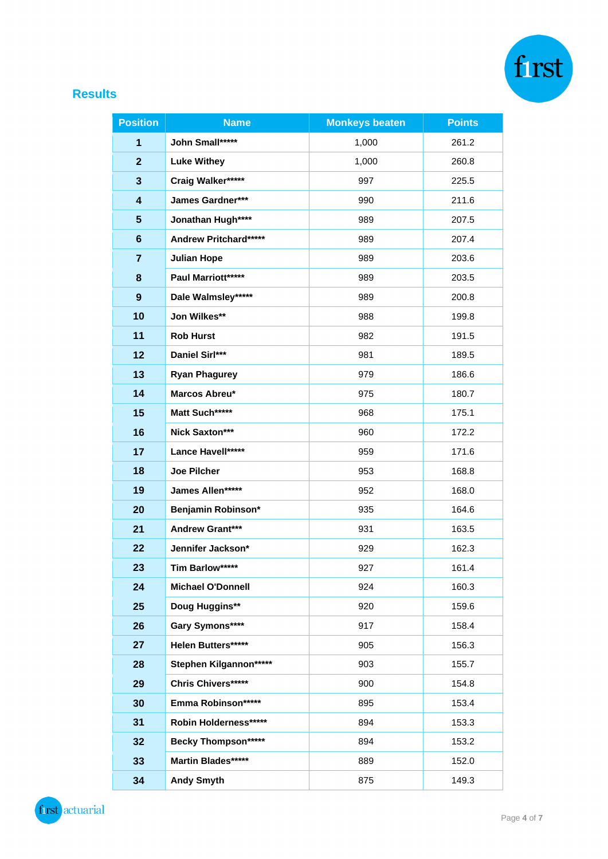

## **Results**

| <b>Position</b>         | <b>Name</b>                  | <b>Monkeys beaten</b> | <b>Points</b> |  |
|-------------------------|------------------------------|-----------------------|---------------|--|
| 1                       | John Small*****              | 1,000                 | 261.2         |  |
| $\overline{2}$          | <b>Luke Withey</b>           | 1,000                 | 260.8         |  |
| 3                       | Craig Walker*****            | 997                   | 225.5         |  |
| $\overline{\mathbf{4}}$ | James Gardner***             | 990                   | 211.6         |  |
| 5                       | Jonathan Hugh****            | 989                   | 207.5         |  |
| $6\phantom{1}$          | <b>Andrew Pritchard*****</b> | 989                   | 207.4         |  |
| $\overline{7}$          | <b>Julian Hope</b>           | 989                   | 203.6         |  |
| 8                       | Paul Marriott*****           | 989                   | 203.5         |  |
| 9                       | Dale Walmsley*****           | 989                   | 200.8         |  |
| 10                      | Jon Wilkes**                 | 988                   | 199.8         |  |
| 11                      | <b>Rob Hurst</b>             | 982                   | 191.5         |  |
| 12                      | Daniel Sirl***               | 981                   | 189.5         |  |
| 13                      | <b>Ryan Phagurey</b>         | 979                   | 186.6         |  |
| 14                      | Marcos Abreu*                | 975                   | 180.7         |  |
| 15                      | Matt Such*****               | 968                   | 175.1         |  |
| 16                      | Nick Saxton***               | 960                   | 172.2         |  |
| 17                      | Lance Havell*****            | 959                   | 171.6         |  |
| 18                      | <b>Joe Pilcher</b>           | 953                   | 168.8         |  |
| 19                      | James Allen*****             | 952                   | 168.0         |  |
| 20                      | Benjamin Robinson*           | 935                   | 164.6         |  |
| 21                      | Andrew Grant***              | 931                   | 163.5         |  |
| 22                      | Jennifer Jackson*<br>929     |                       | 162.3         |  |
| 23                      | Tim Barlow*****              | 927                   | 161.4         |  |
| 24                      | <b>Michael O'Donnell</b>     | 924                   | 160.3         |  |
| 25                      | Doug Huggins**               | 920                   | 159.6         |  |
| 26                      | Gary Symons****              | 917                   | 158.4         |  |
| 27                      | Helen Butters*****           | 905                   | 156.3         |  |
| 28                      | Stephen Kilgannon*****       | 903                   | 155.7         |  |
| 29                      | Chris Chivers*****           | 900                   | 154.8         |  |
| 30                      | Emma Robinson******          | 895                   | 153.4         |  |
| 31                      | Robin Holderness******       | 894                   | 153.3         |  |
| 32                      | <b>Becky Thompson*****</b>   | 894                   | 153.2         |  |
| 33                      | Martin Blades*****           | 889                   | 152.0         |  |
| 34                      | <b>Andy Smyth</b>            | 875                   | 149.3         |  |

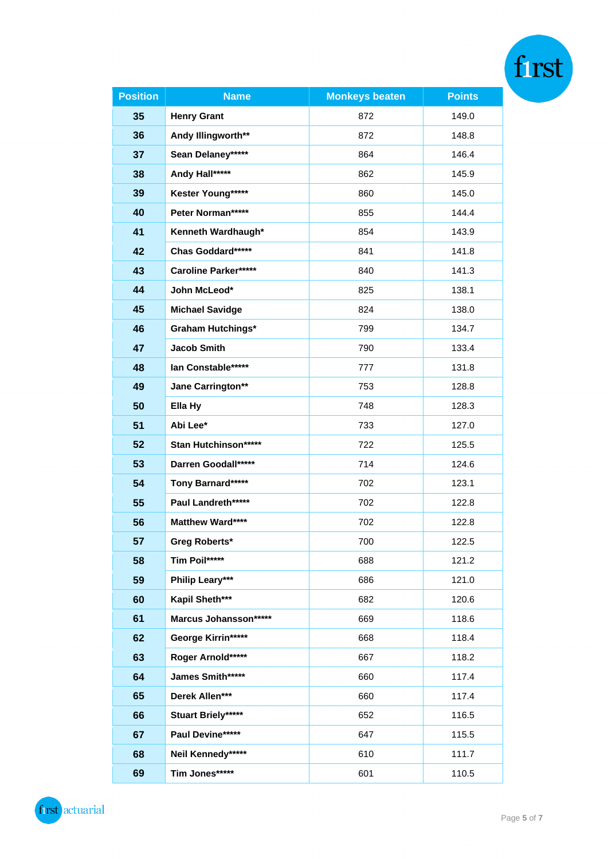| <b>Position</b> | <b>Name</b>                 | <b>Monkeys beaten</b> | <b>Points</b> |  |
|-----------------|-----------------------------|-----------------------|---------------|--|
| 35              | <b>Henry Grant</b>          | 872                   | 149.0         |  |
| 36              | Andy Illingworth**          | 872                   | 148.8         |  |
| 37              | Sean Delaney*****           | 864                   | 146.4         |  |
| 38              | Andy Hall*****              | 862                   | 145.9         |  |
| 39              | Kester Young*****           | 860                   | 145.0         |  |
| 40              | Peter Norman*****           | 855                   | 144.4         |  |
| 41              | Kenneth Wardhaugh*          | 854                   | 143.9         |  |
| 42              | Chas Goddard*****           | 841                   | 141.8         |  |
| 43              | <b>Caroline Parker*****</b> | 840                   | 141.3         |  |
| 44              | John McLeod*                | 825                   | 138.1         |  |
| 45              | <b>Michael Savidge</b>      | 824                   | 138.0         |  |
| 46              | <b>Graham Hutchings*</b>    | 799                   | 134.7         |  |
| 47              | <b>Jacob Smith</b>          | 790                   | 133.4         |  |
| 48              | lan Constable*****          | 777                   | 131.8         |  |
| 49              | Jane Carrington**           | 753                   | 128.8         |  |
| 50              | Ella Hy                     | 748                   | 128.3         |  |
| 51              | Abi Lee*                    | 733                   | 127.0         |  |
| 52              | Stan Hutchinson*****        | 722                   | 125.5         |  |
| 53              | Darren Goodall*****         | 714                   | 124.6         |  |
| 54              | Tony Barnard*****           | 702                   | 123.1         |  |
| 55              | Paul Landreth*****          | 702                   | 122.8         |  |
| 56              | Matthew Ward****            | 702                   | 122.8         |  |
| 57              | Greg Roberts*               | 700                   | 122.5         |  |
| 58              | Tim Poil*****               | 688                   | 121.2         |  |
| 59              | Philip Leary***             | 686                   | 121.0         |  |
| 60              | Kapil Sheth***              | 682                   | 120.6         |  |
| 61              | Marcus Johansson*****       | 669                   | 118.6         |  |
| 62              | George Kirrin*****          | 668                   | 118.4         |  |
| 63              | Roger Arnold*****           | 667                   | 118.2         |  |
| 64              | James Smith*****            | 660                   | 117.4         |  |
| 65              | Derek Allen***              | 660                   | 117.4         |  |
| 66              | <b>Stuart Briely*****</b>   | 652                   | 116.5         |  |
| 67              | Paul Devine*****            | 647                   | 115.5         |  |
| 68              | Neil Kennedy*****           | 610                   | 111.7         |  |
| 69              | Tim Jones*****              | 601                   | 110.5         |  |

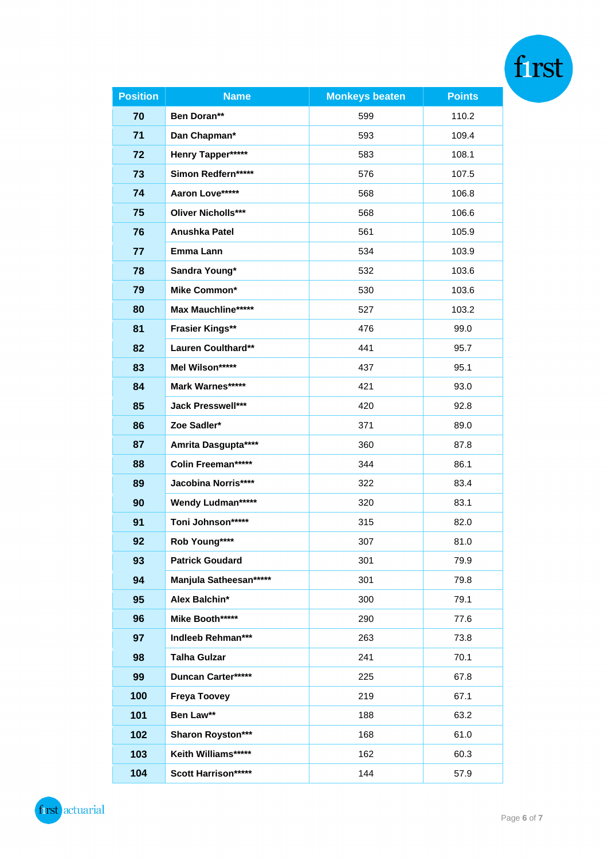| <b>Position</b> | <b>Name</b>                | <b>Monkeys beaten</b> | <b>Points</b> |
|-----------------|----------------------------|-----------------------|---------------|
| 70              | Ben Doran**                | 599                   | 110.2         |
| 71              | Dan Chapman*               | 593                   | 109.4         |
| 72              | Henry Tapper*****          | 583                   | 108.1         |
| 73              | Simon Redfern*****         | 576                   | 107.5         |
| 74              | Aaron Love*****            | 568                   | 106.8         |
| 75              | <b>Oliver Nicholls***</b>  | 568                   | 106.6         |
| 76              | <b>Anushka Patel</b>       | 561                   | 105.9         |
| 77              | Emma Lann                  | 534                   | 103.9         |
| 78              | Sandra Young*              | 532                   | 103.6         |
| 79              | Mike Common*               | 530                   | 103.6         |
| 80              | <b>Max Mauchline*****</b>  | 527                   | 103.2         |
| 81              | <b>Frasier Kings**</b>     | 476                   | 99.0          |
| 82              | Lauren Coulthard**         | 441                   | 95.7          |
| 83              | Mel Wilson*****            | 437                   | 95.1          |
| 84              | Mark Warnes*****           | 421                   | 93.0          |
| 85              | Jack Presswell***          | 420                   | 92.8          |
| 86              | Zoe Sadler*                | 371                   | 89.0          |
| 87              | Amrita Dasgupta****        | 360                   | 87.8          |
| 88              | <b>Colin Freeman*****</b>  | 344                   | 86.1          |
| 89              | <b>Jacobina Norris****</b> | 322                   | 83.4          |
| 90              | Wendy Ludman*****          | 320                   | 83.1          |
| 91              | Toni Johnson*****          | 315                   | 82.0          |
| 92              | Rob Young****              | 307                   | 81.0          |
| 93              | <b>Patrick Goudard</b>     | 301                   | 79.9          |
| 94              | Manjula Satheesan*****     | 301                   | 79.8          |
| 95              | Alex Balchin*              | 300                   | 79.1          |
| 96              | Mike Booth*****            | 290                   | 77.6          |
| 97              | Indleeb Rehman***          | 263                   | 73.8          |
| 98              | <b>Talha Gulzar</b>        | 241                   | 70.1          |
| 99              | Duncan Carter*****         | 225                   | 67.8          |
| 100             | <b>Freya Toovey</b>        | 219                   | 67.1          |
| 101             | Ben Law**                  | 188                   | 63.2          |
| 102             | Sharon Royston***          | 168                   | 61.0          |
| 103             | Keith Williams*****        | 162                   | 60.3          |
| 104             | Scott Harrison*****        | 144                   | 57.9          |